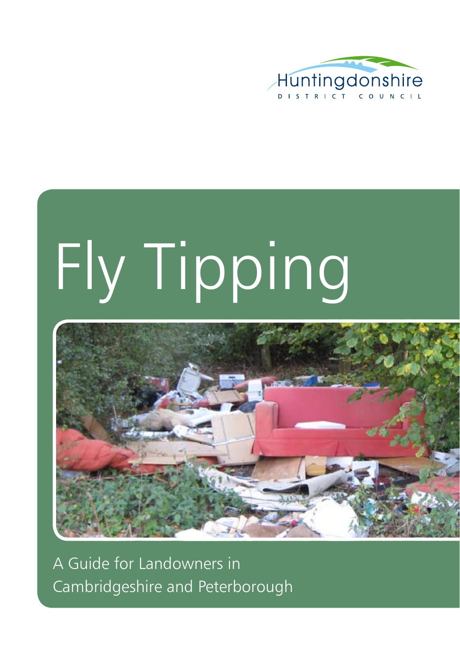

# Fly Tipping



A Guide for Landowners in Cambridgeshire and Peterborough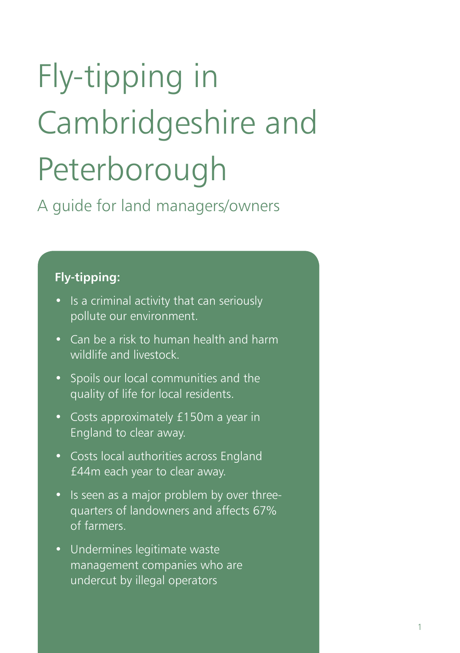### Fly-tipping in Cambridgeshire and Peterborough

A guide for land managers/owners

#### **Fly-tipping:**

- Is a criminal activity that can seriously pollute our environment.
- Can be a risk to human health and harm wildlife and livestock.
- • Spoils our local communities and the quality of life for local residents.
- • Costs approximately £150m a year in England to clear away.
- • Costs local authorities across England £44m each year to clear away.
- Is seen as a major problem by over threequarters of landowners and affects 67% of farmers.
- • Undermines legitimate waste management companies who are undercut by illegal operators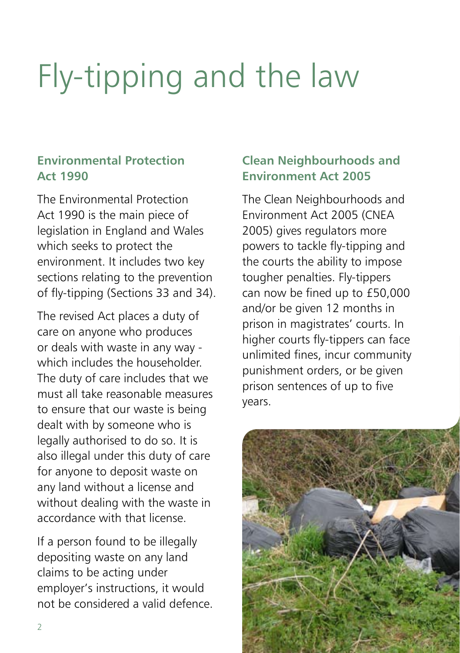### Fly-tipping and the law

#### **Environmental Protection Act 1990**

The Environmental Protection Act 1990 is the main piece of legislation in England and Wales which seeks to protect the environment. It includes two key sections relating to the prevention of fly-tipping (Sections 33 and 34).

The revised Act places a duty of care on anyone who produces or deals with waste in any way which includes the householder The duty of care includes that we must all take reasonable measures to ensure that our waste is being dealt with by someone who is legally authorised to do so. It is also illegal under this duty of care for anyone to deposit waste on any land without a license and without dealing with the waste in accordance with that license.

If a person found to be illegally depositing waste on any land claims to be acting under employer's instructions, it would not be considered a valid defence.

#### **Clean Neighbourhoods and Environment Act 2005**

The Clean Neighbourhoods and Environment Act 2005 (CNEA 2005) gives regulators more powers to tackle fly-tipping and the courts the ability to impose tougher penalties. Fly-tippers can now be fined up to £50,000 and/or be given 12 months in prison in magistrates' courts. In higher courts fly-tippers can face unlimited fines, incur community punishment orders, or be given prison sentences of up to five years.

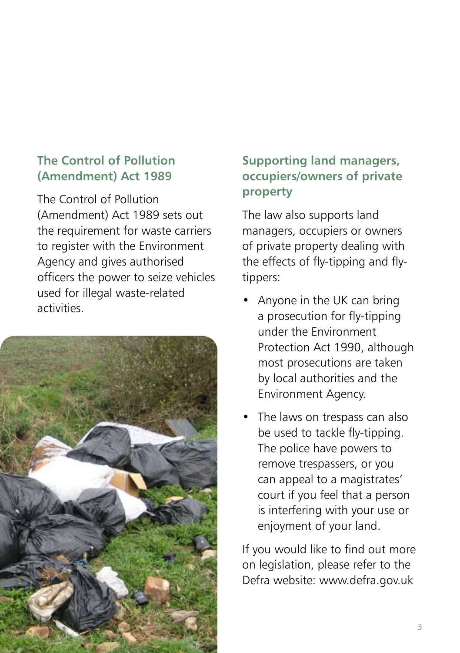#### **The Control of Pollution (Amendment) Act 1989**

The Control of Pollution (Amendment) Act 1989 sets out the requirement for waste carriers to register with the Environment Agency and gives authorised officers the power to seize vehicles used for illegal waste-related activities.



### **Supporting land managers, occupiers/owners of private property**

The law also supports land managers, occupiers or owners of private property dealing with the effects of fly-tipping and flytippers:

- Anyone in the UK can bring a prosecution for fly-tipping under the Environment Protection Act 1990, although most prosecutions are taken by local authorities and the Environment Agency.
- The laws on trespass can also be used to tackle fly-tipping. The police have powers to remove trespassers, or you can appeal to a magistrates' court if you feel that a person is interfering with your use or enjoyment of your land.

If you would like to find out more on legislation, please refer to the Defra website: www.defra.gov.uk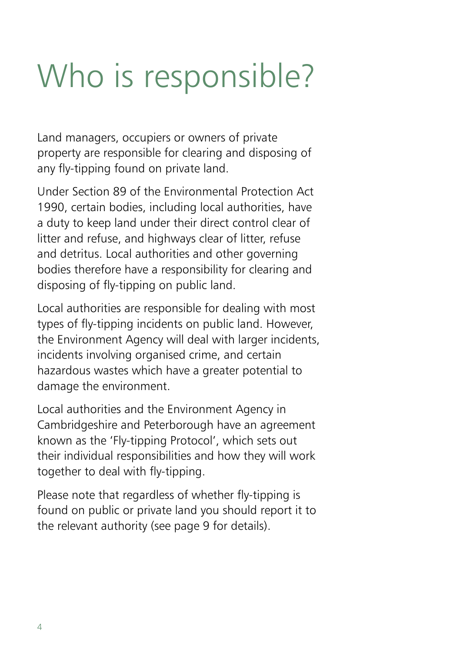### Who is responsible?

Land managers, occupiers or owners of private property are responsible for clearing and disposing of any fly-tipping found on private land.

Under Section 89 of the Environmental Protection Act 1990, certain bodies, including local authorities, have a duty to keep land under their direct control clear of litter and refuse, and highways clear of litter, refuse and detritus. Local authorities and other governing bodies therefore have a responsibility for clearing and disposing of fly-tipping on public land.

Local authorities are responsible for dealing with most types of fly-tipping incidents on public land. However, the Environment Agency will deal with larger incidents, incidents involving organised crime, and certain hazardous wastes which have a greater potential to damage the environment.

Local authorities and the Environment Agency in Cambridgeshire and Peterborough have an agreement known as the 'Fly-tipping Protocol', which sets out their individual responsibilities and how they will work together to deal with fly-tipping.

Please note that regardless of whether fly-tipping is found on public or private land you should report it to the relevant authority (see page 9 for details).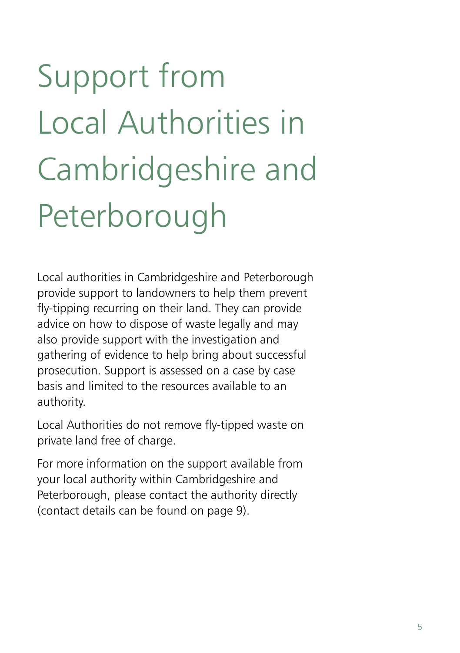## Support from Local Authorities in Cambridgeshire and Peterborough

Local authorities in Cambridgeshire and Peterborough provide support to landowners to help them prevent fly-tipping recurring on their land. They can provide advice on how to dispose of waste legally and may also provide support with the investigation and gathering of evidence to help bring about successful prosecution. Support is assessed on a case by case basis and limited to the resources available to an authority.

Local Authorities do not remove fly-tipped waste on private land free of charge.

For more information on the support available from your local authority within Cambridgeshire and Peterborough, please contact the authority directly (contact details can be found on page 9).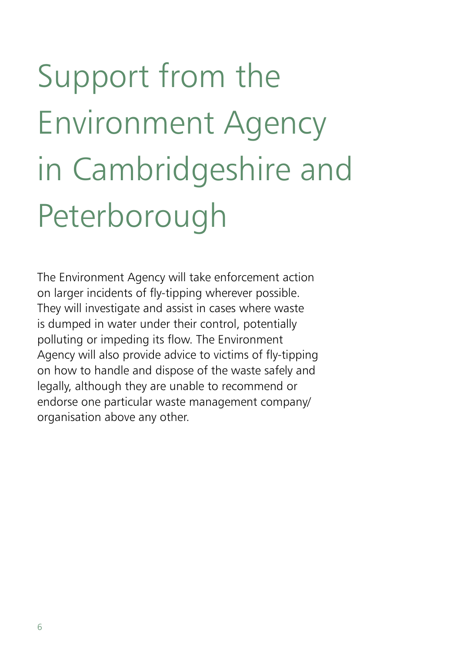## Support from the Environment Agency in Cambridgeshire and Peterborough

The Environment Agency will take enforcement action on larger incidents of fly-tipping wherever possible. They will investigate and assist in cases where waste is dumped in water under their control, potentially polluting or impeding its flow. The Environment Agency will also provide advice to victims of fly-tipping on how to handle and dispose of the waste safely and legally, although they are unable to recommend or endorse one particular waste management company/ organisation above any other.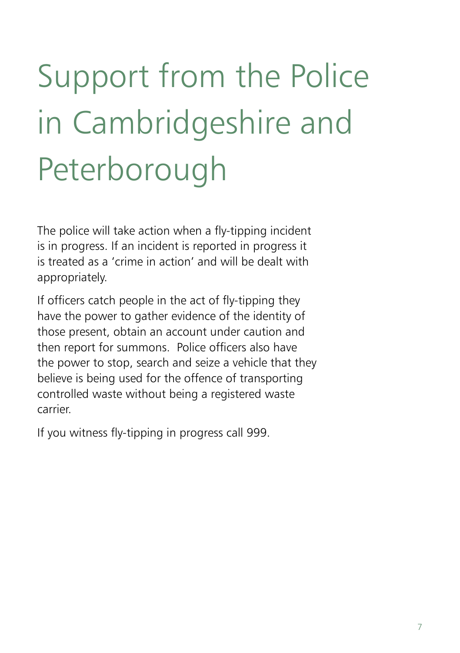## Support from the Police in Cambridgeshire and Peterborough

The police will take action when a fly-tipping incident is in progress. If an incident is reported in progress it is treated as a 'crime in action' and will be dealt with appropriately.

If officers catch people in the act of fly-tipping they have the power to gather evidence of the identity of those present, obtain an account under caution and then report for summons. Police officers also have the power to stop, search and seize a vehicle that they believe is being used for the offence of transporting controlled waste without being a registered waste carrier.

If you witness fly-tipping in progress call 999.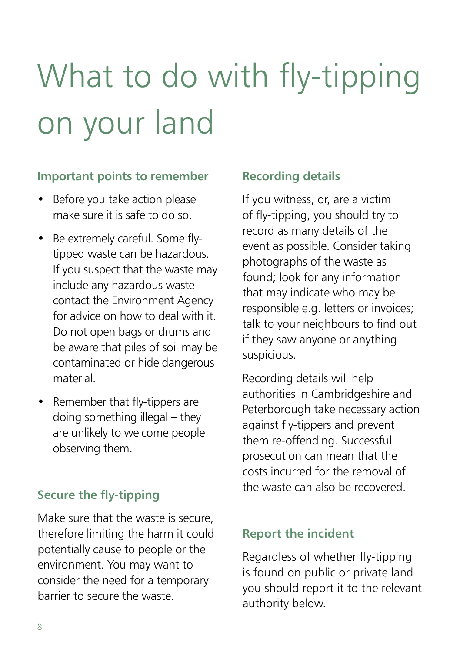### What to do with fly-tipping on your land

#### **Important points to remember**

- Before you take action please make sure it is safe to do so.
- Be extremely careful. Some flytipped waste can be hazardous. If you suspect that the waste may include any hazardous waste contact the Environment Agency for advice on how to deal with it. Do not open bags or drums and be aware that piles of soil may be contaminated or hide dangerous material.
- Remember that fly-tippers are doing something illegal – they are unlikely to welcome people observing them.

Make sure that the waste is secure, therefore limiting the harm it could potentially cause to people or the environment. You may want to consider the need for a temporary barrier to secure the waste.

#### **Recording details**

If you witness, or, are a victim of fly-tipping, you should try to record as many details of the event as possible. Consider taking photographs of the waste as found; look for any information that may indicate who may be responsible e.g. letters or invoices; talk to your neighbours to find out if they saw anyone or anything suspicious.

Recording details will help authorities in Cambridgeshire and Peterborough take necessary action against fly-tippers and prevent them re-offending. Successful prosecution can mean that the costs incurred for the removal of the waste can also be recovered. **Secure the fly-tipping** 

#### **Report the incident**

Regardless of whether fly-tipping is found on public or private land you should report it to the relevant authority below.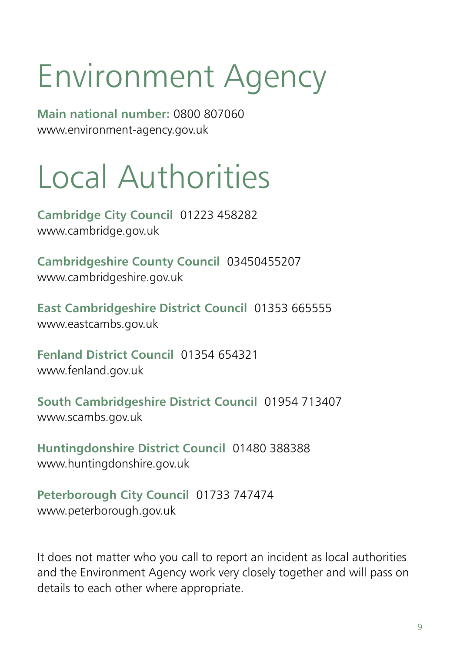### Environment Agency

**Main national number:** 0800 807060 www.environment-agency.gov.uk

### Local Authorities

**Cambridge City Council** 01223 458282 www.cambridge.gov.uk

**Cambridgeshire County Council** 03450455207 www.cambridgeshire.gov.uk

**East Cambridgeshire District Council** 01353 665555 www.eastcambs.gov.uk

**Fenland District Council** 01354 654321 www.fenland.gov.uk

**South Cambridgeshire District Council** 01954 713407 www.scambs.gov.uk

**Huntingdonshire District Council** 01480 388388 www.huntingdonshire.gov.uk

**Peterborough City Council** 01733 747474 www.peterborough.gov.uk

It does not matter who you call to report an incident as local authorities and the Environment Agency work very closely together and will pass on details to each other where appropriate.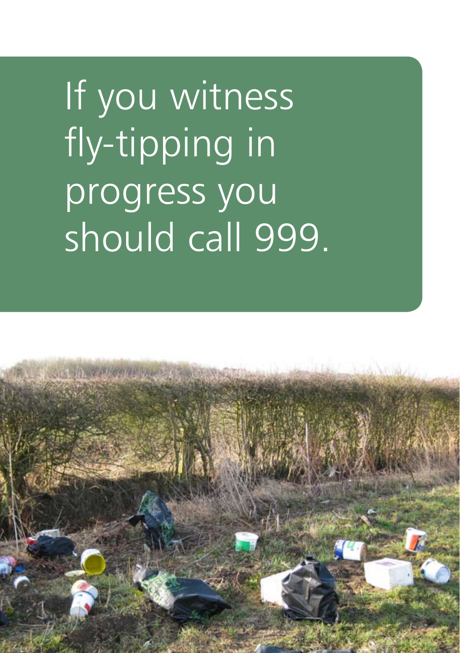If you witness fly-tipping in progress you should call 999.

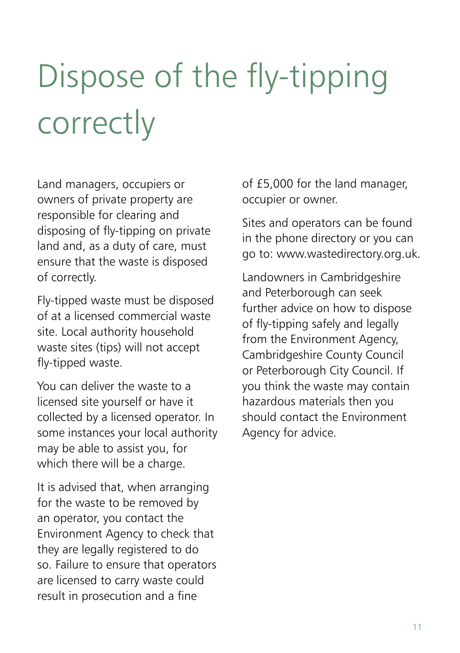## Dispose of the fly-tipping correctly

Land managers, occupiers or owners of private property are responsible for clearing and disposing of fly-tipping on private land and, as a duty of care, must ensure that the waste is disposed of correctly.

Fly-tipped waste must be disposed of at a licensed commercial waste site. Local authority household waste sites (tips) will not accept fly-tipped waste.

You can deliver the waste to a licensed site yourself or have it collected by a licensed operator. In some instances your local authority may be able to assist you, for which there will be a charge.

It is advised that, when arranging for the waste to be removed by an operator, you contact the Environment Agency to check that they are legally registered to do so. Failure to ensure that operators are licensed to carry waste could result in prosecution and a fine

of £5,000 for the land manager, occupier or owner.

Sites and operators can be found in the phone directory or you can go to: www.wastedirectory.org.uk.

Landowners in Cambridgeshire and Peterborough can seek further advice on how to dispose of fly-tipping safely and legally from the Environment Agency, Cambridgeshire County Council or Peterborough City Council. If you think the waste may contain hazardous materials then you should contact the Environment Agency for advice.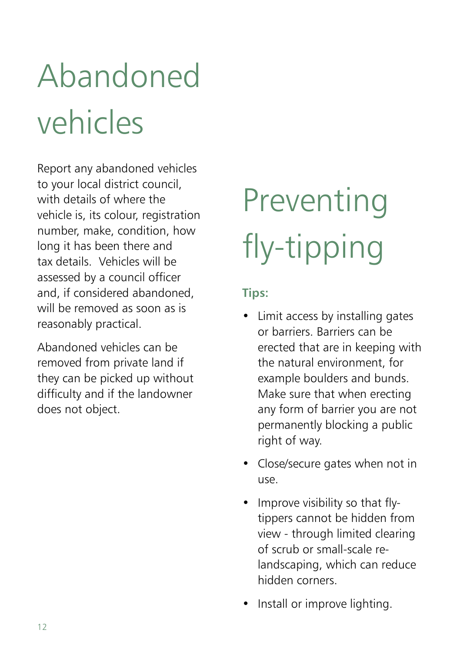### Abandoned vehicles

Report any abandoned vehicles to your local district council, with details of where the vehicle is, its colour, registration number, make, condition, how long it has been there and tax details. Vehicles will be assessed by a council officer and, if considered abandoned, will be removed as soon as is reasonably practical.

Abandoned vehicles can be removed from private land if they can be picked up without difficulty and if the landowner does not object.

### Preventing fly-tipping

#### **Tips:**

- Limit access by installing gates or barriers. Barriers can be erected that are in keeping with the natural environment, for example boulders and bunds. Make sure that when erecting any form of barrier you are not permanently blocking a public right of way.
- Close/secure gates when not in use.
- Improve visibility so that flytippers cannot be hidden from view - through limited clearing of scrub or small-scale relandscaping, which can reduce hidden corners.
- Install or improve lighting.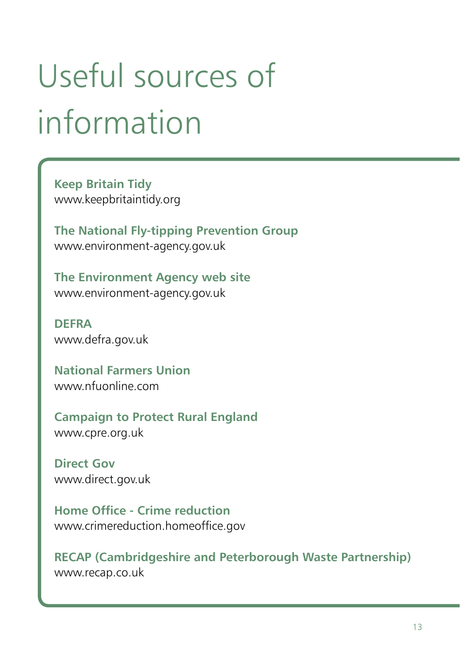### Useful sources of information

**Keep Britain Tidy** www.keepbritaintidy.org

**The National Fly-tipping Prevention Group** www.environment-agency.gov.uk

**The Environment Agency web site** www.environment-agency.gov.uk

**DEFRA** www.defra.gov.uk

**National Farmers Union** www.nfuonline.com

**Campaign to Protect Rural England** www.cpre.org.uk

**Direct Gov** www.direct.gov.uk

**Home Office - Crime reduction** www.crimereduction.homeoffice.gov

**RECAP (Cambridgeshire and Peterborough Waste Partnership)** www.recap.co.uk